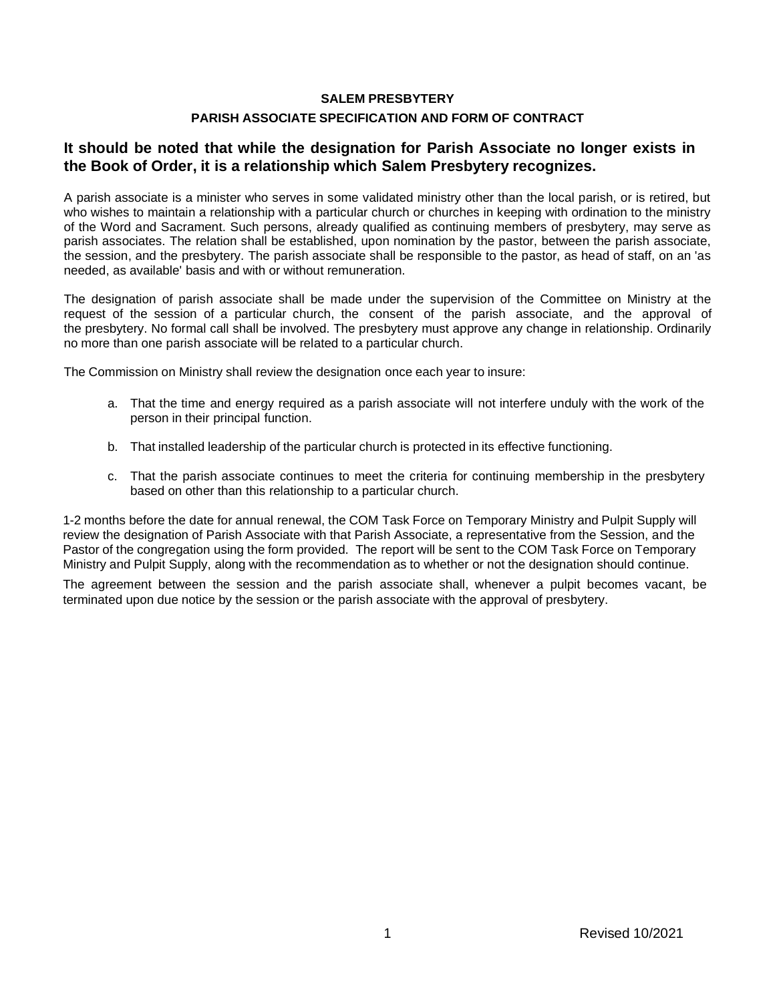## **SALEM PRESBYTERY PARISH ASSOCIATE SPECIFICATION AND FORM OF CONTRACT**

## **It should be noted that while the designation for Parish Associate no longer exists in the Book of Order, it is a relationship which Salem Presbytery recognizes.**

A parish associate is a minister who serves in some validated ministry other than the local parish, or is retired, but who wishes to maintain a relationship with a particular church or churches in keeping with ordination to the ministry of the Word and Sacrament. Such persons, already qualified as continuing members of presbytery, may serve as parish associates. The relation shall be established, upon nomination by the pastor, between the parish associate, the session, and the presbytery. The parish associate shall be responsible to the pastor, as head of staff, on an 'as needed, as available' basis and with or without remuneration.

The designation of parish associate shall be made under the supervision of the Committee on Ministry at the request of the session of a particular church, the consent of the parish associate, and the approval of the presbytery. No formal call shall be involved. The presbytery must approve any change in relationship. Ordinarily no more than one parish associate will be related to a particular church.

The Commission on Ministry shall review the designation once each year to insure:

- a. That the time and energy required as a parish associate will not interfere unduly with the work of the person in their principal function.
- b. That installed leadership of the particular church is protected in its effective functioning.
- c. That the parish associate continues to meet the criteria for continuing membership in the presbytery based on other than this relationship to a particular church.

1-2 months before the date for annual renewal, the COM Task Force on Temporary Ministry and Pulpit Supply will review the designation of Parish Associate with that Parish Associate, a representative from the Session, and the Pastor of the congregation using the form provided. The report will be sent to the COM Task Force on Temporary Ministry and Pulpit Supply, along with the recommendation as to whether or not the designation should continue.

The agreement between the session and the parish associate shall, whenever a pulpit becomes vacant, be terminated upon due notice by the session or the parish associate with the approval of presbytery.